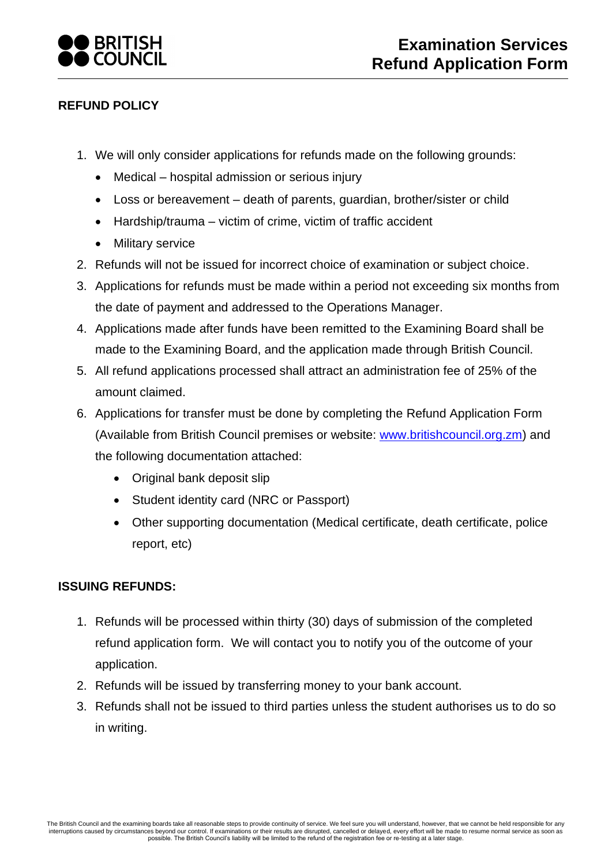

## **REFUND POLICY**

- 1. We will only consider applications for refunds made on the following grounds:
	- Medical hospital admission or serious injury
	- Loss or bereavement death of parents, guardian, brother/sister or child
	- Hardship/trauma victim of crime, victim of traffic accident
	- Military service
- 2. Refunds will not be issued for incorrect choice of examination or subject choice.
- 3. Applications for refunds must be made within a period not exceeding six months from the date of payment and addressed to the Operations Manager.
- 4. Applications made after funds have been remitted to the Examining Board shall be made to the Examining Board, and the application made through British Council.
- 5. All refund applications processed shall attract an administration fee of 25% of the amount claimed.
- 6. Applications for transfer must be done by completing the Refund Application Form (Available from British Council premises or website: [www.britishcouncil.org.zm\)](http://www.britishcouncil.org.zm/) and the following documentation attached:
	- Original bank deposit slip
	- Student identity card (NRC or Passport)
	- Other supporting documentation (Medical certificate, death certificate, police report, etc)

## **ISSUING REFUNDS:**

- 1. Refunds will be processed within thirty (30) days of submission of the completed refund application form. We will contact you to notify you of the outcome of your application.
- 2. Refunds will be issued by transferring money to your bank account.
- 3. Refunds shall not be issued to third parties unless the student authorises us to do so in writing.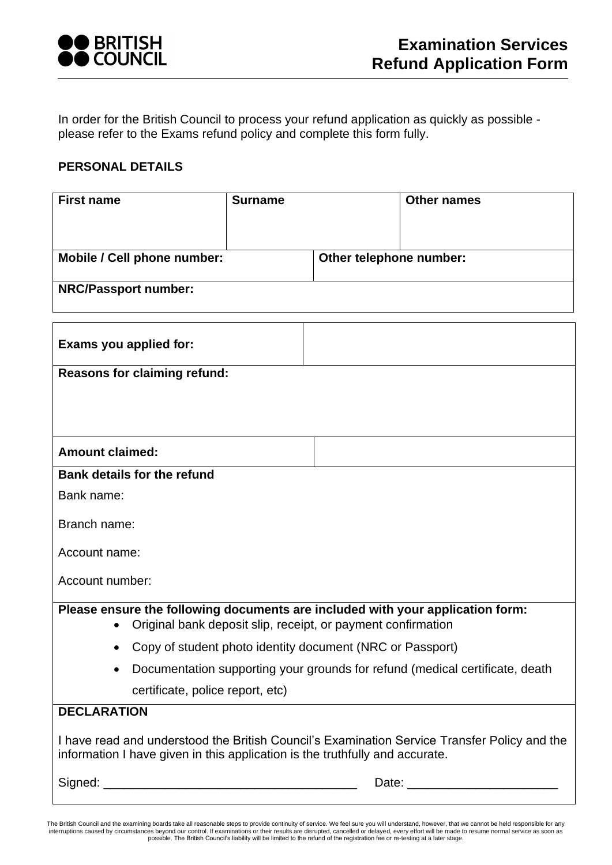

In order for the British Council to process your refund application as quickly as possible please refer to the Exams refund policy and complete this form fully.

## **PERSONAL DETAILS**

| <b>First name</b>                                                                                                                                                            | <b>Surname</b> |                         | <b>Other names</b> |  |
|------------------------------------------------------------------------------------------------------------------------------------------------------------------------------|----------------|-------------------------|--------------------|--|
|                                                                                                                                                                              |                |                         |                    |  |
|                                                                                                                                                                              |                |                         |                    |  |
| Mobile / Cell phone number:                                                                                                                                                  |                | Other telephone number: |                    |  |
| <b>NRC/Passport number:</b>                                                                                                                                                  |                |                         |                    |  |
|                                                                                                                                                                              |                |                         |                    |  |
| Exams you applied for:                                                                                                                                                       |                |                         |                    |  |
| <b>Reasons for claiming refund:</b>                                                                                                                                          |                |                         |                    |  |
|                                                                                                                                                                              |                |                         |                    |  |
|                                                                                                                                                                              |                |                         |                    |  |
| <b>Amount claimed:</b>                                                                                                                                                       |                |                         |                    |  |
| <b>Bank details for the refund</b>                                                                                                                                           |                |                         |                    |  |
| Bank name:                                                                                                                                                                   |                |                         |                    |  |
|                                                                                                                                                                              |                |                         |                    |  |
| Branch name:                                                                                                                                                                 |                |                         |                    |  |
| Account name:                                                                                                                                                                |                |                         |                    |  |
| Account number:                                                                                                                                                              |                |                         |                    |  |
|                                                                                                                                                                              |                |                         |                    |  |
| Please ensure the following documents are included with your application form:<br>Original bank deposit slip, receipt, or payment confirmation                               |                |                         |                    |  |
| Copy of student photo identity document (NRC or Passport)<br>$\bullet$                                                                                                       |                |                         |                    |  |
| Documentation supporting your grounds for refund (medical certificate, death                                                                                                 |                |                         |                    |  |
| certificate, police report, etc)                                                                                                                                             |                |                         |                    |  |
| <b>DECLARATION</b>                                                                                                                                                           |                |                         |                    |  |
| I have read and understood the British Council's Examination Service Transfer Policy and the<br>information I have given in this application is the truthfully and accurate. |                |                         |                    |  |
|                                                                                                                                                                              |                |                         |                    |  |
|                                                                                                                                                                              |                |                         |                    |  |

The British Council and the examining boards take all reasonable steps to provide continuity of service. We feel sure you will understand, however, that we cannot be held responsible for any interruptions caused by circums